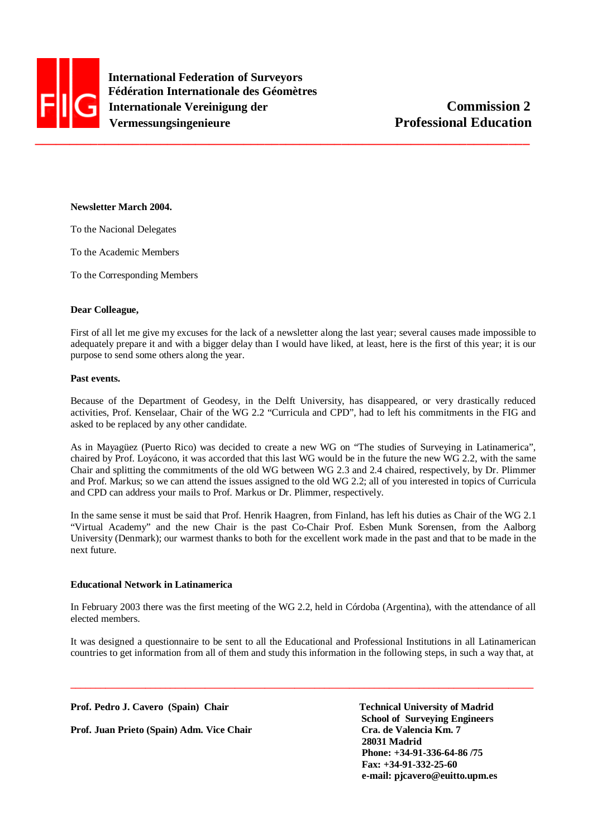

 **International Federation of Surveyors Fédération Internationale des Géomètres Internationale Vereinigung der Commission 2 Vermessungsingenieure** Professional Education

## **Newsletter March 2004.**

To the Nacional Delegates

To the Academic Members

To the Corresponding Members

#### **Dear Colleague,**

First of all let me give my excuses for the lack of a newsletter along the last year; several causes made impossible to adequately prepare it and with a bigger delay than I would have liked, at least, here is the first of this year; it is our purpose to send some others along the year.

#### **Past events.**

Because of the Department of Geodesy, in the Delft University, has disappeared, or very drastically reduced activities, Prof. Kenselaar, Chair of the WG 2.2 "Curricula and CPD", had to left his commitments in the FIG and asked to be replaced by any other candidate.

As in Mayagüez (Puerto Rico) was decided to create a new WG on "The studies of Surveying in Latinamerica", chaired by Prof. Loyácono, it was accorded that this last WG would be in the future the new WG 2.2, with the same Chair and splitting the commitments of the old WG between WG 2.3 and 2.4 chaired, respectively, by Dr. Plimmer and Prof. Markus; so we can attend the issues assigned to the old WG 2.2; all of you interested in topics of Curricula and CPD can address your mails to Prof. Markus or Dr. Plimmer, respectively.

In the same sense it must be said that Prof. Henrik Haagren, from Finland, has left his duties as Chair of the WG 2.1 "Virtual Academy" and the new Chair is the past Co-Chair Prof. Esben Munk Sorensen, from the Aalborg University (Denmark); our warmest thanks to both for the excellent work made in the past and that to be made in the next future.

#### **Educational Network in Latinamerica**

In February 2003 there was the first meeting of the WG 2.2, held in Córdoba (Argentina), with the attendance of all elected members.

It was designed a questionnaire to be sent to all the Educational and Professional Institutions in all Latinamerican countries to get information from all of them and study this information in the following steps, in such a way that, at

**\_\_\_\_\_\_\_\_\_\_\_\_\_\_\_\_\_\_\_\_\_\_\_\_\_\_\_\_\_\_\_\_\_\_\_\_\_\_\_\_\_\_\_\_\_\_\_\_\_\_\_\_\_\_\_\_\_\_\_\_\_\_\_\_\_\_\_\_\_\_\_\_\_\_\_\_\_\_\_\_\_\_\_\_\_\_\_\_\_\_\_\_\_** 

Prof. Pedro J. Cavero (Spain) Chair Technical University of Madrid

**Prof. Juan Prieto (Spain) Adm. Vice Chair**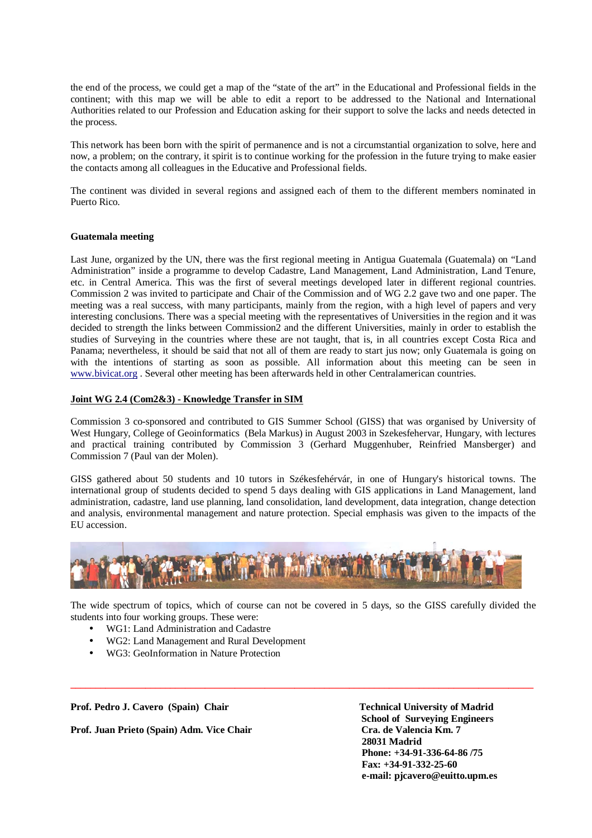the end of the process, we could get a map of the "state of the art" in the Educational and Professional fields in the continent; with this map we will be able to edit a report to be addressed to the National and International Authorities related to our Profession and Education asking for their support to solve the lacks and needs detected in the process.

This network has been born with the spirit of permanence and is not a circumstantial organization to solve, here and now, a problem; on the contrary, it spirit is to continue working for the profession in the future trying to make easier the contacts among all colleagues in the Educative and Professional fields.

The continent was divided in several regions and assigned each of them to the different members nominated in Puerto Rico.

## **Guatemala meeting**

Last June, organized by the UN, there was the first regional meeting in Antigua Guatemala (Guatemala) on "Land Administration" inside a programme to develop Cadastre, Land Management, Land Administration, Land Tenure, etc. in Central America. This was the first of several meetings developed later in different regional countries. Commission 2 was invited to participate and Chair of the Commission and of WG 2.2 gave two and one paper. The meeting was a real success, with many participants, mainly from the region, with a high level of papers and very interesting conclusions. There was a special meeting with the representatives of Universities in the region and it was decided to strength the links between Commission2 and the different Universities, mainly in order to establish the studies of Surveying in the countries where these are not taught, that is, in all countries except Costa Rica and Panama; nevertheless, it should be said that not all of them are ready to start jus now; only Guatemala is going on with the intentions of starting as soon as possible. All information about this meeting can be seen in www.bivicat.org . Several other meeting has been afterwards held in other Centralamerican countries.

## **Joint WG 2.4 (Com2&3) - Knowledge Transfer in SIM**

Commission 3 co-sponsored and contributed to GIS Summer School (GISS) that was organised by University of West Hungary, College of Geoinformatics (Bela Markus) in August 2003 in Szekesfehervar, Hungary, with lectures and practical training contributed by Commission 3 (Gerhard Muggenhuber, Reinfried Mansberger) and Commission 7 (Paul van der Molen).

GISS gathered about 50 students and 10 tutors in Székesfehérvár, in one of Hungary's historical towns. The international group of students decided to spend 5 days dealing with GIS applications in Land Management, land administration, cadastre, land use planning, land consolidation, land development, data integration, change detection and analysis, environmental management and nature protection. Special emphasis was given to the impacts of the EU accession.



The wide spectrum of topics, which of course can not be covered in 5 days, so the GISS carefully divided the students into four working groups. These were:

**\_\_\_\_\_\_\_\_\_\_\_\_\_\_\_\_\_\_\_\_\_\_\_\_\_\_\_\_\_\_\_\_\_\_\_\_\_\_\_\_\_\_\_\_\_\_\_\_\_\_\_\_\_\_\_\_\_\_\_\_\_\_\_\_\_\_\_\_\_\_\_\_\_\_\_\_\_\_\_\_\_\_\_\_\_\_\_\_\_\_\_\_\_** 

- WG1: Land Administration and Cadastre
- WG2: Land Management and Rural Development
- WG3: GeoInformation in Nature Protection

Prof. Pedro J. Cavero (Spain) Chair Technical University of Madrid

**Prof. Juan Prieto (Spain) Adm. Vice Chair Cra. de Valencia Km. 7**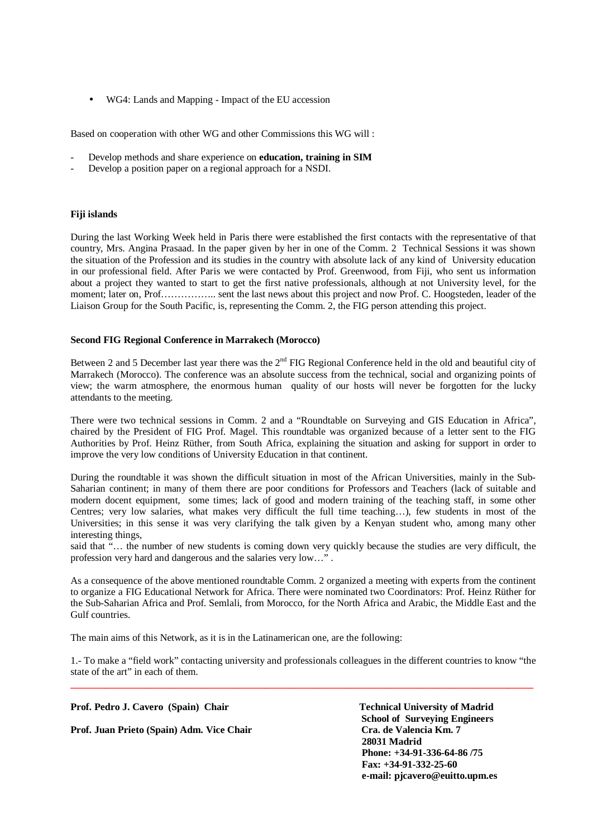• WG4: Lands and Mapping - Impact of the EU accession

Based on cooperation with other WG and other Commissions this WG will :

- Develop methods and share experience on **education, training in SIM**
- Develop a position paper on a regional approach for a NSDI.

# **Fiji islands**

During the last Working Week held in Paris there were established the first contacts with the representative of that country, Mrs. Angina Prasaad. In the paper given by her in one of the Comm. 2 Technical Sessions it was shown the situation of the Profession and its studies in the country with absolute lack of any kind of University education in our professional field. After Paris we were contacted by Prof. Greenwood, from Fiji, who sent us information about a project they wanted to start to get the first native professionals, although at not University level, for the moment; later on, Prof…………….. sent the last news about this project and now Prof. C. Hoogsteden, leader of the Liaison Group for the South Pacific, is, representing the Comm. 2, the FIG person attending this project.

## **Second FIG Regional Conference in Marrakech (Morocco)**

Between 2 and 5 December last year there was the 2<sup>nd</sup> FIG Regional Conference held in the old and beautiful city of Marrakech (Morocco). The conference was an absolute success from the technical, social and organizing points of view; the warm atmosphere, the enormous human quality of our hosts will never be forgotten for the lucky attendants to the meeting.

There were two technical sessions in Comm. 2 and a "Roundtable on Surveying and GIS Education in Africa", chaired by the President of FIG Prof. Magel. This roundtable was organized because of a letter sent to the FIG Authorities by Prof. Heinz Rüther, from South Africa, explaining the situation and asking for support in order to improve the very low conditions of University Education in that continent.

During the roundtable it was shown the difficult situation in most of the African Universities, mainly in the Sub-Saharian continent; in many of them there are poor conditions for Professors and Teachers (lack of suitable and modern docent equipment, some times; lack of good and modern training of the teaching staff, in some other Centres; very low salaries, what makes very difficult the full time teaching…), few students in most of the Universities; in this sense it was very clarifying the talk given by a Kenyan student who, among many other interesting things,

said that "… the number of new students is coming down very quickly because the studies are very difficult, the profession very hard and dangerous and the salaries very low…" .

As a consequence of the above mentioned roundtable Comm. 2 organized a meeting with experts from the continent to organize a FIG Educational Network for Africa. There were nominated two Coordinators: Prof. Heinz Rüther for the Sub-Saharian Africa and Prof. Semlali, from Morocco, for the North Africa and Arabic, the Middle East and the Gulf countries.

The main aims of this Network, as it is in the Latinamerican one, are the following:

**\_\_\_\_\_\_\_\_\_\_\_\_\_\_\_\_\_\_\_\_\_\_\_\_\_\_\_\_\_\_\_\_\_\_\_\_\_\_\_\_\_\_\_\_\_\_\_\_\_\_\_\_\_\_\_\_\_\_\_\_\_\_\_\_\_\_\_\_\_\_\_\_\_\_\_\_\_\_\_\_\_\_\_\_\_\_\_\_\_\_\_\_\_**  1.- To make a "field work" contacting university and professionals colleagues in the different countries to know "the state of the art" in each of them.

Prof. Pedro J. Cavero (Spain) Chair Technical University of Madrid

**Prof. Juan Prieto (Spain) Adm. Vice Chair Cra. de Valencia Km. 7**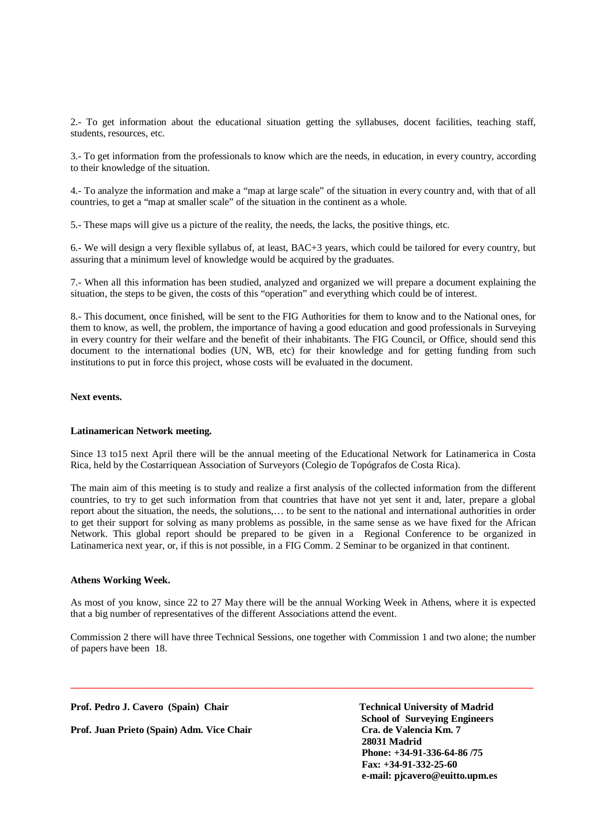2.- To get information about the educational situation getting the syllabuses, docent facilities, teaching staff, students, resources, etc.

3.- To get information from the professionals to know which are the needs, in education, in every country, according to their knowledge of the situation.

4.- To analyze the information and make a "map at large scale" of the situation in every country and, with that of all countries, to get a "map at smaller scale" of the situation in the continent as a whole.

5.- These maps will give us a picture of the reality, the needs, the lacks, the positive things, etc.

6.- We will design a very flexible syllabus of, at least, BAC+3 years, which could be tailored for every country, but assuring that a minimum level of knowledge would be acquired by the graduates.

7.- When all this information has been studied, analyzed and organized we will prepare a document explaining the situation, the steps to be given, the costs of this "operation" and everything which could be of interest.

8.- This document, once finished, will be sent to the FIG Authorities for them to know and to the National ones, for them to know, as well, the problem, the importance of having a good education and good professionals in Surveying in every country for their welfare and the benefit of their inhabitants. The FIG Council, or Office, should send this document to the international bodies (UN, WB, etc) for their knowledge and for getting funding from such institutions to put in force this project, whose costs will be evaluated in the document.

# **Next events.**

### **Latinamerican Network meeting.**

Since 13 to15 next April there will be the annual meeting of the Educational Network for Latinamerica in Costa Rica, held by the Costarriquean Association of Surveyors (Colegio de Topógrafos de Costa Rica).

The main aim of this meeting is to study and realize a first analysis of the collected information from the different countries, to try to get such information from that countries that have not yet sent it and, later, prepare a global report about the situation, the needs, the solutions,… to be sent to the national and international authorities in order to get their support for solving as many problems as possible, in the same sense as we have fixed for the African Network. This global report should be prepared to be given in a Regional Conference to be organized in Latinamerica next year, or, if this is not possible, in a FIG Comm. 2 Seminar to be organized in that continent.

#### **Athens Working Week.**

As most of you know, since 22 to 27 May there will be the annual Working Week in Athens, where it is expected that a big number of representatives of the different Associations attend the event.

Commission 2 there will have three Technical Sessions, one together with Commission 1 and two alone; the number of papers have been 18.

**\_\_\_\_\_\_\_\_\_\_\_\_\_\_\_\_\_\_\_\_\_\_\_\_\_\_\_\_\_\_\_\_\_\_\_\_\_\_\_\_\_\_\_\_\_\_\_\_\_\_\_\_\_\_\_\_\_\_\_\_\_\_\_\_\_\_\_\_\_\_\_\_\_\_\_\_\_\_\_\_\_\_\_\_\_\_\_\_\_\_\_\_\_** 

Prof. Pedro J. Cavero (Spain) Chair Technical University of Madrid

**Prof. Juan Prieto (Spain) Adm. Vice Chair Cra. de Valencia Km. 7**